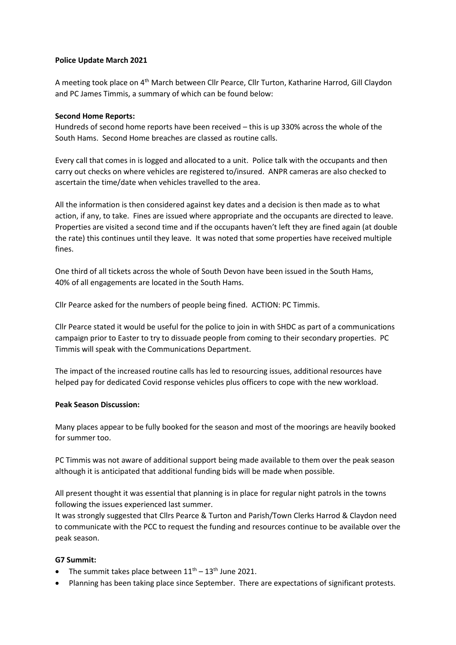### **Police Update March 2021**

A meeting took place on 4th March between Cllr Pearce, Cllr Turton, Katharine Harrod, Gill Claydon and PC James Timmis, a summary of which can be found below:

### **Second Home Reports:**

Hundreds of second home reports have been received – this is up 330% across the whole of the South Hams. Second Home breaches are classed as routine calls.

Every call that comes in is logged and allocated to a unit. Police talk with the occupants and then carry out checks on where vehicles are registered to/insured. ANPR cameras are also checked to ascertain the time/date when vehicles travelled to the area.

All the information is then considered against key dates and a decision is then made as to what action, if any, to take. Fines are issued where appropriate and the occupants are directed to leave. Properties are visited a second time and if the occupants haven't left they are fined again (at double the rate) this continues until they leave. It was noted that some properties have received multiple fines.

One third of all tickets across the whole of South Devon have been issued in the South Hams, 40% of all engagements are located in the South Hams.

Cllr Pearce asked for the numbers of people being fined. ACTION: PC Timmis.

Cllr Pearce stated it would be useful for the police to join in with SHDC as part of a communications campaign prior to Easter to try to dissuade people from coming to their secondary properties. PC Timmis will speak with the Communications Department.

The impact of the increased routine calls has led to resourcing issues, additional resources have helped pay for dedicated Covid response vehicles plus officers to cope with the new workload.

#### **Peak Season Discussion:**

Many places appear to be fully booked for the season and most of the moorings are heavily booked for summer too.

PC Timmis was not aware of additional support being made available to them over the peak season although it is anticipated that additional funding bids will be made when possible.

All present thought it was essential that planning is in place for regular night patrols in the towns following the issues experienced last summer.

It was strongly suggested that Cllrs Pearce & Turton and Parish/Town Clerks Harrod & Claydon need to communicate with the PCC to request the funding and resources continue to be available over the peak season.

# **G7 Summit:**

- The summit takes place between  $11<sup>th</sup> 13<sup>th</sup>$  June 2021.
- Planning has been taking place since September. There are expectations of significant protests.